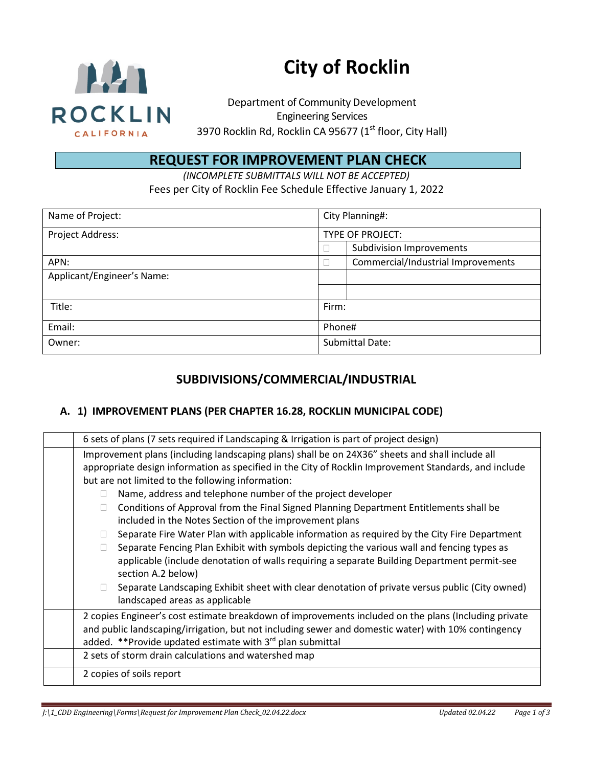

# **City of Rocklin**

Department of Community Development Engineering Services 3970 Rocklin Rd, Rocklin CA 95677 (1<sup>st</sup> floor, City Hall)

# **REQUEST FOR IMPROVEMENT PLAN CHECK**

*(INCOMPLETE SUBMITTALS WILL NOT BE ACCEPTED)* Fees per City of Rocklin Fee Schedule Effective January 1, 2022

| Name of Project:           | City Planning#:        |                                    |
|----------------------------|------------------------|------------------------------------|
| Project Address:           | TYPE OF PROJECT:       |                                    |
|                            |                        | <b>Subdivision Improvements</b>    |
| APN:                       |                        | Commercial/Industrial Improvements |
| Applicant/Engineer's Name: |                        |                                    |
|                            |                        |                                    |
| Title:                     | Firm:                  |                                    |
| Email:                     | Phone#                 |                                    |
| Owner:                     | <b>Submittal Date:</b> |                                    |

## **SUBDIVISIONS/COMMERCIAL/INDUSTRIAL**

#### **A. 1) IMPROVEMENT PLANS (PER CHAPTER 16.28, ROCKLIN MUNICIPAL CODE)**

| 6 sets of plans (7 sets required if Landscaping & Irrigation is part of project design)                                                                                                                                                                                                                                                                                                                                                                                                                                                                                                                                                                                                                                                                                                                                                                                                                                                                                  |
|--------------------------------------------------------------------------------------------------------------------------------------------------------------------------------------------------------------------------------------------------------------------------------------------------------------------------------------------------------------------------------------------------------------------------------------------------------------------------------------------------------------------------------------------------------------------------------------------------------------------------------------------------------------------------------------------------------------------------------------------------------------------------------------------------------------------------------------------------------------------------------------------------------------------------------------------------------------------------|
| Improvement plans (including landscaping plans) shall be on 24X36" sheets and shall include all<br>appropriate design information as specified in the City of Rocklin Improvement Standards, and include<br>but are not limited to the following information:<br>Name, address and telephone number of the project developer<br>Conditions of Approval from the Final Signed Planning Department Entitlements shall be<br>П<br>included in the Notes Section of the improvement plans<br>Separate Fire Water Plan with applicable information as required by the City Fire Department<br>$\mathbb{R}^n$<br>Separate Fencing Plan Exhibit with symbols depicting the various wall and fencing types as<br>$\Box$<br>applicable (include denotation of walls requiring a separate Building Department permit-see<br>section A.2 below)<br>Separate Landscaping Exhibit sheet with clear denotation of private versus public (City owned)<br>landscaped areas as applicable |
| 2 copies Engineer's cost estimate breakdown of improvements included on the plans (Including private<br>and public landscaping/irrigation, but not including sewer and domestic water) with 10% contingency<br>added. **Provide updated estimate with 3rd plan submittal                                                                                                                                                                                                                                                                                                                                                                                                                                                                                                                                                                                                                                                                                                 |
| 2 sets of storm drain calculations and watershed map                                                                                                                                                                                                                                                                                                                                                                                                                                                                                                                                                                                                                                                                                                                                                                                                                                                                                                                     |
| 2 copies of soils report                                                                                                                                                                                                                                                                                                                                                                                                                                                                                                                                                                                                                                                                                                                                                                                                                                                                                                                                                 |
|                                                                                                                                                                                                                                                                                                                                                                                                                                                                                                                                                                                                                                                                                                                                                                                                                                                                                                                                                                          |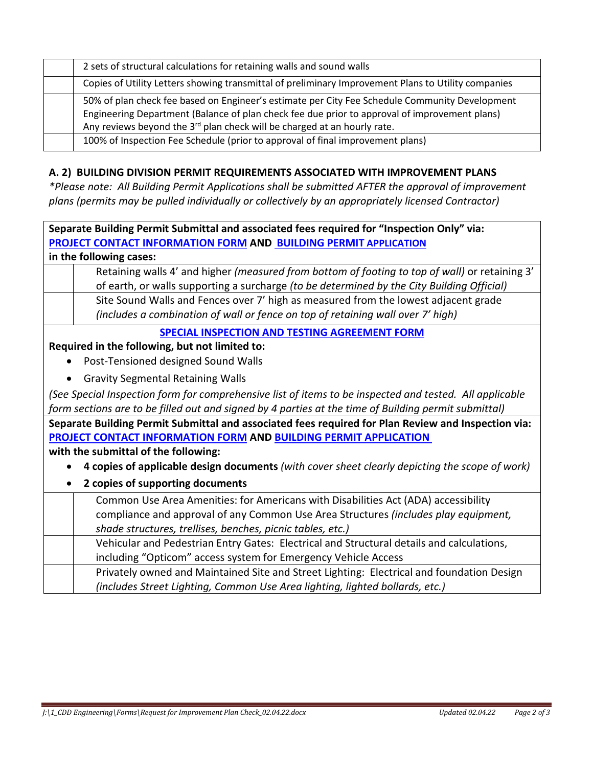| 2 sets of structural calculations for retaining walls and sound walls                                                                                                                                                                                                                   |
|-----------------------------------------------------------------------------------------------------------------------------------------------------------------------------------------------------------------------------------------------------------------------------------------|
| Copies of Utility Letters showing transmittal of preliminary Improvement Plans to Utility companies                                                                                                                                                                                     |
| 50% of plan check fee based on Engineer's estimate per City Fee Schedule Community Development<br>Engineering Department (Balance of plan check fee due prior to approval of improvement plans)<br>Any reviews beyond the 3 <sup>rd</sup> plan check will be charged at an hourly rate. |
| 100% of Inspection Fee Schedule (prior to approval of final improvement plans)                                                                                                                                                                                                          |

#### **A. 2) BUILDING DIVISION PERMIT REQUIREMENTS ASSOCIATED WITH IMPROVEMENT PLANS**

*\*Please note: All Building Permit Applications shall be submitted AFTER the approval of improvement plans (permits may be pulled individually or collectively by an appropriately licensed Contractor)*

| Separate Building Permit Submittal and associated fees required for "Inspection Only" via:              |
|---------------------------------------------------------------------------------------------------------|
| PROJECT CONTACT INFORMATION FORM AND BUILDING PERMIT APPLICATION                                        |
| in the following cases:                                                                                 |
| Retaining walls 4' and higher (measured from bottom of footing to top of wall) or retaining 3'          |
| of earth, or walls supporting a surcharge (to be determined by the City Building Official)              |
| Site Sound Walls and Fences over 7' high as measured from the lowest adjacent grade                     |
| (includes a combination of wall or fence on top of retaining wall over 7' high)                         |
| SPECIAL INSPECTION AND TESTING AGREEMENT FORM                                                           |
| Required in the following, but not limited to:                                                          |
| Post-Tensioned designed Sound Walls                                                                     |
| <b>Gravity Segmental Retaining Walls</b>                                                                |
| (See Special Inspection form for comprehensive list of items to be inspected and tested. All applicable |
| form sections are to be filled out and signed by 4 parties at the time of Building permit submittal)    |
| Separate Building Permit Submittal and associated fees required for Plan Review and Inspection via:     |
| PROJECT CONTACT INFORMATION FORM AND BUILDING PERMIT APPLICATION                                        |
| with the submittal of the following:                                                                    |
| 4 copies of applicable design documents (with cover sheet clearly depicting the scope of work)          |
| 2 copies of supporting documents                                                                        |
| Common Use Area Amenities: for Americans with Disabilities Act (ADA) accessibility                      |
| compliance and approval of any Common Use Area Structures (includes play equipment,                     |
| shade structures, trellises, benches, picnic tables, etc.)                                              |
| Vehicular and Pedestrian Entry Gates: Electrical and Structural details and calculations,               |
| including "Opticom" access system for Emergency Vehicle Access                                          |
| Privately owned and Maintained Site and Street Lighting: Electrical and foundation Design               |
| (includes Street Lighting, Common Use Area lighting, lighted bollards, etc.)                            |